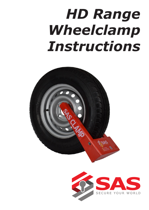# *HD Range Wheelclamp Instructions*



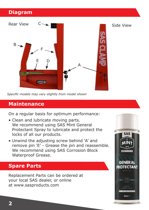# **Diagram**



*Specific models may vary slightly from model shown* 

### **Maintenance**

On a regular basis for optimum performance:

- Clean and lubricate moving parts. We recommend using SAS Mint General Protectant Spray to lubricate and protect the locks of all our products.
- Unwind the adjusting screw behind 'A' and remove pin 'E' - Grease the pin and reassemble. We recommend using SAS Corrosion Block Waterproof Grease.

# **Spare Parts**

Replacement Parts can be ordered at your local SAS dealer, or online at www.sasproducts.com

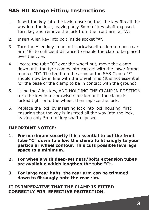# **SAS HD Range Fitting Instructions**

- 1. Insert the key into the lock, ensuring that the key fits all the way into the lock, leaving only 5mm of key shaft exposed. Turn key and remove the lock from the front arm at "A".
- 2. Insert Allen key into bolt inside socket "A".
- 3. Turn the Allen key in an anticlockwise direction to open rear arm "B" to sufficient distance to enable the clap to be placed over the tyre.
- 4. Locate the tube "C" over the wheel nut, move the clamp down until the tyre comes into contact with the lower frame marked "D". The teeth on the arms of the SAS Clamp "F" should now be in line with the wheel rims (It is not essential for the base of the clamp to be in contact with the ground).
- 5. Using the Allen key, AND HOLDING THE CLAMP IN POSITION turn the key in a clockwise direction until the clamp is locked tight onto the wheel, then replace the lock.
- 6. Replace the lock by inserting lock into lock housing, first ensuring that the key is inserted all the way into the lock, leaving only 5mm of key shaft exposed.

#### **IMPORTANT NOTICE:**

- **1. For maximum security it is essential to cut the front tube "C" down to allow the clamp to fit snugly to your particular wheel contour. This cuts possible leverage space to a minimum.**
- **2. For wheels with deep-set nuts/bolts extension tubes are available which lengthen the tube "C".**
- **3. For large rear hubs, the rear arm can be trimmed down to fit snugly onto the rear rim.**

#### **IT IS IMPERATIVE THAT THE CLAMP IS FITTED CORRECTLY FOR EFFECTIVE PROTECTION.**